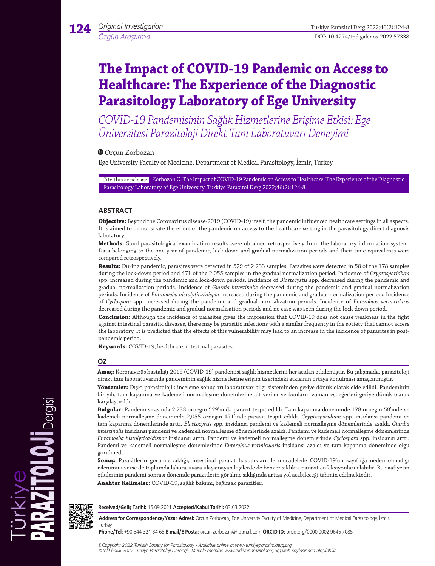# **The Impact of COVID-19 Pandemic on Access to Healthcare: The Experience of the Diagnostic Parasitology Laboratory of Ege University**

*COVID-19 Pandemisinin Sağlık Hizmetlerine Erişime Etkisi: Ege Üniversitesi Parazitoloji Direkt Tanı Laboratuvarı Deneyimi*

Orçun Zorbozan

Ege University Faculty of Medicine, Department of Medical Parasitology, İzmir, Turkey

Cite this article as: Zorbozan O. The Impact of COVID-19 Pandemic on Access to Healthcare: The Experience of the Diagnostic Parasitology Laboratory of Ege University. Turkiye Parazitol Derg 2022;46(2):124-8.

# **ABSTRACT**

**Objective:** Beyond the Coronavirus disease-2019 (COVID-19) itself, the pandemic influenced healthcare settings in all aspects. It is aimed to demonstrate the effect of the pandemic on access to the healthcare setting in the parasitology direct diagnosis laboratory.

**Methods:** Stool parasitological examination results were obtained retrospectively from the laboratory information system. Data belonging to the one-year of pandemic, lock-down and gradual normalization periods and their time equivalents were compared retrospectively.

**Results:** During pandemic, parasites were detected in 529 of 2.233 samples. Parasites were detected in 58 of the 178 samples during the lock-down period and 471 of the 2.055 samples in the gradual normalization period. Incidence of *Cryptosporidium* spp. increased during the pandemic and lock-down periods. Incidence of *Blastocystis* spp. decreased during the pandemic and gradual normalization periods. Incidence of *Giardia intestinalis* decreased during the pandemic and gradual normalization periods. Incidence of *Entamoeba histolytica/dispar* increased during the pandemic and gradual normalization periods Incidence of *Cyclospora* spp. increased during the pandemic and gradual normalization periods. Incidence of *Enterobius vermicularis* decreased during the pandemic and gradual normalization periods and no case was seen during the lock-down period.

**Conclusion:** Although the incidence of parasites gives the impression that COVID-19 does not cause weakness in the fight against intestinal parasitic diseases, there may be parasitic infections with a similar frequency in the society that cannot access the laboratory. It is predicted that the effects of this vulnerability may lead to an increase in the incidence of parasites in postpandemic period.

**Keywords:** COVID-19, healthcare, intestinal parasites

# **ÖZ**

**Amaç:** Koronavirüs hastalığı-2019 (COVID-19) pandemisi sağlık hizmetlerini her açıdan etkilemiştir. Bu çalışmada, parazitoloji direkt tanı laboratuvarında pandeminin sağlık hizmetlerine erişim üzerindeki etkisinin ortaya konulması amaçlanmıştır.

**Yöntemler:** Dışkı parazitolojik inceleme sonuçları laboratuvar bilgi sisteminden geriye dönük olarak elde edildi. Pandeminin bir yılı, tam kapanma ve kademeli normalleşme dönemlerine ait veriler ve bunların zaman eşdeğerleri geriye dönük olarak karşılaştırıldı.

**Bulgular:** Pandemi sırasında 2,233 örneğin 529'unda parazit tespit edildi. Tam kapanma döneminde 178 örneğin 58'inde ve kademeli normalleşme döneminde 2,055 örneğin 471'inde parazit tespit edildi. *Cryptosporidium* spp. insidansı pandemi ve tam kapanma dönemlerinde arttı. *Blastocystis* spp. insidansı pandemi ve kademeli normalleşme dönemlerinde azaldı. *Giardia intestinalis* insidansı pandemi ve kademeli normalleşme dönemlerinde azaldı. Pandemi ve kademeli normalleşme dönemlerinde *Entamoeba histolytica/dispar* insidansı arttı. Pandemi ve kademeli normalleşme dönemlerinde *Cyclospora* spp. insidansı arttı. Pandemi ve kademeli normalleşme dönemlerinde *Enterobius vermicularis* insidansı azaldı ve tam kapanma döneminde olgu görülmedi.

**Sonuç:** Parazitlerin görülme sıklığı, intestinal parazit hastalıkları ile mücadelede COVID-19'un zayıflığa neden olmadığı izlenimini verse de toplumda laboratuvara ulaşamayan kişilerde de benzer sıklıkta parazit enfeksiyonları olabilir. Bu zaafiyetin etkilerinin pandemi sonrası dönemde parazitlerin görülme sıklığında artışa yol açabileceği tahmin edilmektedir. **Anahtar Kelimeler:** COVID-19, sağlık bakımı, bağırsak parazitleri



Dergisi

**Received/Geliş Tarihi:** 16.09.2021 **Accepted/Kabul Tarihi:** 03.03.2022

**Address for Correspondence/Yazar Adresi:** Orçun Zorbozan, Ege University Faculty of Medicine, Department of Medical Parasitology, İzmir, **Turkey** 

**Phone/Tel:** +90 544 321 34 68 **E-mail/E-Posta:** orcun-zorbozan@hotmail.com **ORCID ID:** orcid.org/0000-0002-9645-7085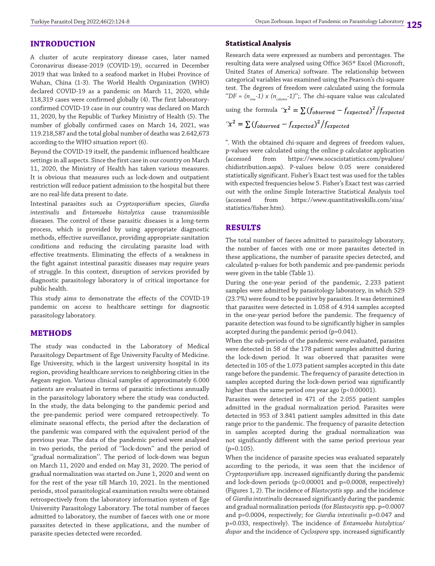## **INTRODUCTION**

A cluster of acute respiratory disease cases, later named Coronavirus disease-2019 (COVID-19), occurred in December 2019 that was linked to a seafood market in Hubei Province of Wuhan, China (1-3). The World Health Organization (WHO) declared COVID-19 as a pandemic on March 11, 2020, while 118,319 cases were confirmed globally (4). The first laboratoryconfirmed COVID-19 case in our country was declared on March 11, 2020, by the Republic of Turkey Ministry of Health (5). The number of globally confirmed cases on March 14, 2021, was 119.218,587 and the total global number of deaths was 2.642,673 according to the WHO situation report (6).

Beyond the COVID-19 itself, the pandemic influenced healthcare settings in all aspects. Since the first case in our country on March 11, 2020, the Ministry of Health has taken various measures. It is obvious that measures such as lock-down and outpatient restriction will reduce patient admission to the hospital but there are no real-life data present to date.

Intestinal parasites such as *Cryptosporidium* species, *Giardia intestinalis* and *Entamoeba histolytica* cause transmissible diseases. The control of these parasitic diseases is a long-term process, which is provided by using appropriate diagnostic methods, effective surveillance, providing appropriate sanitation conditions and reducing the circulating parasite load with effective treatments. Eliminating the effects of a weakness in the fight against intestinal parasitic diseases may require years of struggle. In this context, disruption of services provided by diagnostic parasitology laboratory is of critical importance for public health.

This study aims to demonstrate the effects of the COVID-19 pandemic on access to healthcare settings for diagnostic parasitology laboratory.

## **METHODS**

The study was conducted in the Laboratory of Medical Parasitology Department of Ege University Faculty of Medicine. Ege University, which is the largest university hospital in its region, providing healthcare services to neighboring cities in the Aegean region. Various clinical samples of approximately 6.000 patients are evaluated in terms of parasitic infections annually in the parasitology laboratory where the study was conducted. In the study, the data belonging to the pandemic period and the pre-pandemic period were compared retrospectively. To eliminate seasonal effects, the period after the declaration of the pandemic was compared with the equivalent period of the previous year. The data of the pandemic period were analysed in two periods, the period of ''lock-down'' and the period of "gradual normalization". The period of lock-down was begun on March 11, 2020 and ended on May 31, 2020. The period of gradual normalization was started on June 1, 2020 and went on for the rest of the year till March 10, 2021. In the mentioned periods, stool parasitological examination results were obtained retrospectively from the laboratory information system of Ege University Parasitology Laboratory. The total number of faeces admitted to laboratory, the number of faeces with one or more parasites detected in these applications, and the number of parasite species detected were recorded.

#### **Statistical Analysis**

Research data were expressed as numbers and percentages. The resulting data were analysed using Office 365® Excel (Microsoft, United States of America) software. The relationship between categorical variables was examined using the Pearson's chi-square test. The degrees of freedom were calculated using the formula " $DF = (n_{rav} - 1) \times (n_{column} - 1)$ ";. The chi-square value was calculated

using the formula 
$$
\frac{f(x^2)}{2} = \sum (f_{observed} - f_{expected})^2 / f_{expected}
$$

$$
\frac{f(x^2)}{2} = \sum (f_{observed} - f_{expected})^2 / f_{expected}
$$

". With the obtained chi-square and degrees of freedom values, p-values were calculated using the online p calculator application (accessed from https://www.socscistatistics.com/pvalues/ chidistribution.aspx). P-values below 0.05 were considered statistically significant. Fisher's Exact test was used for the tables with expected frequencies below 5. Fisher's Exact test was carried out with the online Simple Interactive Statistical Analysis tool (accessed from https://www.quantitativeskills.com/sisa/ statistics/fisher.htm).

## **RESULTS**

The total number of faeces admitted to parasitology laboratory, the number of faeces with one or more parasites detected in these applications, the number of parasite species detected, and calculated p-values for both pandemic and pre-pandemic periods were given in the table (Table 1).

During the one-year period of the pandemic, 2.233 patient samples were admitted by parasitology laboratory, in which 529 (23.7%) were found to be positive by parasites. It was determined that parasites were detected in 1.058 of 4.914 samples accepted in the one-year period before the pandemic. The frequency of parasite detection was found to be significantly higher in samples accepted during the pandemic period (p=0.041).

When the sub-periods of the pandemic were evaluated, parasites were detected in 58 of the 178 patient samples admitted during the lock-down period. It was observed that parasites were detected in 105 of the 1.073 patient samples accepted in this date range before the pandemic. The frequency of parasite detection in samples accepted during the lock-down period was significantly higher than the same period one year ago (p<0.00001).

Parasites were detected in 471 of the 2.055 patient samples admitted in the gradual normalization period. Parasites were detected in 953 of 3.841 patient samples admitted in this date range prior to the pandemic. The frequency of parasite detection in samples accepted during the gradual normalization was not significantly different with the same period previous year  $(p=0.105)$ .

When the incidence of parasite species was evaluated separately according to the periods, it was seen that the incidence of *Cryptosporidium* spp. increased significantly during the pandemic and lock-down periods (p<0.00001 and p=0.0008, respectively) (Figures 1, 2). The incidence of *Blastocystis* spp. and the incidence of *Giardia intestinalis* decreased significantly during the pandemic and gradual normalization periods (for *Blastocystis* spp. p=0.0007 and p=0.0004, respectively; for *Giardia intestinalis* p=0.047 and p=0.033, respectively). The incidence of *Entamoeba histolytica/ dispar* and the incidence of *Cyclospora* spp. increased significantly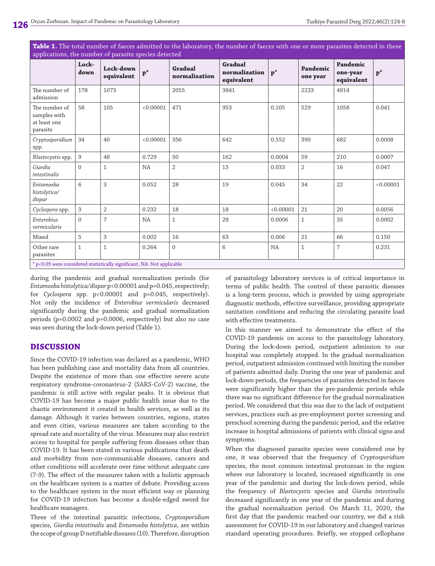| applications, the number of parasite species detected                              |               |                         |                |                          |                                        |                |                      |                                    |                |
|------------------------------------------------------------------------------------|---------------|-------------------------|----------------|--------------------------|----------------------------------------|----------------|----------------------|------------------------------------|----------------|
|                                                                                    | Lock-<br>down | Lock-down<br>equivalent | $\mathbf{p}^*$ | Gradual<br>normalization | Gradual<br>normalization<br>equivalent | $\mathbf{p}^*$ | Pandemic<br>one year | Pandemic<br>one-year<br>equivalent | $\mathbf{p}^*$ |
| The number of<br>admission                                                         | 178           | 1073                    |                | 2055                     | 3841                                   |                | 2233                 | 4914                               |                |
| The number of<br>samples with<br>at least one<br>parasite                          | 58            | 105                     | < 0.00001      | 471                      | 953                                    | 0.105          | 529                  | 1058                               | 0.041          |
| Cryptosporidium<br>spp.                                                            | 34            | 40                      | < 0.00001      | 356                      | 642                                    | 0.552          | 390                  | 682                                | 0.0008         |
| Blastocystis spp.                                                                  | 9             | 48                      | 0.729          | 50                       | 162                                    | 0.0004         | 59                   | 210                                | 0.0007         |
| Giardia<br>intestinalis                                                            | $\Omega$      | $\mathbf{1}$            | NA             | $\overline{2}$           | 15                                     | 0.033          | $\overline{2}$       | 16                                 | 0.047          |
| Entamoeba<br>histolytica/<br>dispar                                                | 6             | 3                       | 0.052          | 28                       | 19                                     | 0.045          | 34                   | 22                                 | < 0.00001      |
| Cyclospora spp.                                                                    | 3             | $\overline{2}$          | 0.232          | 18                       | 18                                     | 0.00001        | 21                   | 20                                 | 0.0056         |
| Enterobius<br>vermicularis                                                         | $\Omega$      | $\overline{7}$          | NA             | 1                        | 28                                     | 0.0006         | $\mathbf 1$          | 35                                 | 0.0002         |
| Mixed                                                                              | 5             | 3                       | 0.002          | 16                       | 63                                     | 0.006          | 21                   | 66                                 | 0.150          |
| Other rare<br>parasites                                                            | $\mathbf{1}$  | $\mathbf{1}$            | 0.264          | 0                        | 6                                      | NA             | $\mathbf{1}$         | $\overline{7}$                     | 0.231          |
| $*_{p+0.05}$ was canadoved etatiotically significant. $N_{\alpha}$ Not applicable. |               |                         |                |                          |                                        |                |                      |                                    |                |

**Table 1.** The total number of faeces admitted to the laboratory, the number of faeces with one or more parasites detected in these

 $^*$  p<0.05 were considered statistically significant, NA: Not applicable

during the pandemic and gradual normalization periods (for *Entamoeba histolytica/dispar* p<0.00001 and p=0.045, respectively; for *Cyclospora* spp. p<0.00001 and p=0.045, respectively). Not only the incidence of *Enterobius vermicularis* decreased significantly during the pandemic and gradual normalization periods (p=0.0002 and p=0.0006, respectively) but also no case was seen during the lock-down period (Table 1).

## **DISCUSSION**

Since the COVID-19 infection was declared as a pandemic, WHO has been publishing case and mortality data from all countries. Despite the existence of more than one effective severe acute respiratory syndrome-coronavirus-2 (SARS-CoV-2) vaccine, the pandemic is still active with regular peaks. It is obvious that COVID-19 has become a major public health issue due to the chaotic environment it created in health services, as well as its damage. Although it varies between countries, regions, states and even cities, various measures are taken according to the spread rate and mortality of the virus. Measures may also restrict access to hospital for people suffering from diseases other than COVID-19. It has been stated in various publications that death and morbidity from non-communicable diseases, cancers and other conditions will accelerate over time without adequate care (7-9). The effect of the measures taken with a holistic approach on the healthcare system is a matter of debate. Providing access to the healthcare system in the most efficient way or planning for COVID-19 infection has become a double-edged sword for healthcare managers.

Three of the intestinal parasitic infections, *Cryptosporidium* species, *Giardia intestinalis* and *Entamoeba histolytica*, are within the scope of group D notifiable diseases (10). Therefore, disruption

of parasitology laboratory services is of critical importance in terms of public health. The control of these parasitic diseases is a long-term process, which is provided by using appropriate diagnostic methods, effective surveillance, providing appropriate sanitation conditions and reducing the circulating parasite load with effective treatments.

In this manner we aimed to demonstrate the effect of the COVID-19 pandemic on access to the parasitology laboratory. During the lock-down period, outpatient admission to our hospital was completely stopped. In the gradual normalization period, outpatient admission continued with limiting the number of patients admitted daily. During the one year of pandemic and lock-down periods, the frequencies of parasites detected in faeces were significantly higher than the pre-pandemic periods while there was no significant difference for the gradual normalization period. We considered that this was due to the lack of outpatient services, practices such as pre-employment porter screening and preschool screening during the pandemic period, and the relative increase in hospital admissions of patients with clinical signs and symptoms.

When the diagnosed parasite species were considered one by one, it was observed that the frequency of *Cryptosporidium* species, the most common intestinal protozoan in the region where our laboratory is located, increased significantly in one year of the pandemic and during the lock-down period, while the frequency of *Blastocystis* species and *Giardia intestinalis* decreased significantly in one year of the pandemic and during the gradual normalization period. On March 11, 2020, the first day that the pandemic reached our country, we did a risk assessment for COVID-19 in our laboratory and changed various standard operating procedures. Briefly, we stopped cellophane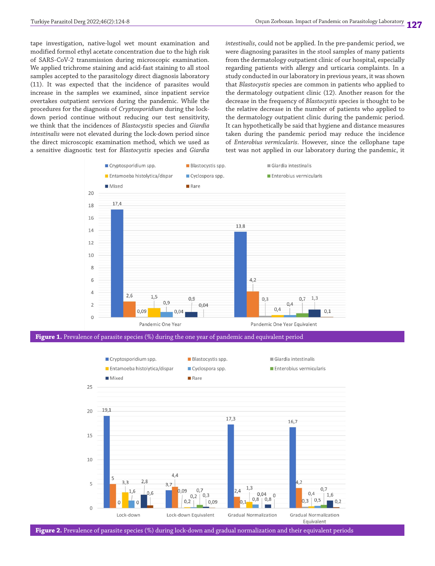tape investigation, native-lugol wet mount examination and modified formol ethyl acetate concentration due to the high risk of SARS-CoV-2 transmission during microscopic examination. We applied trichrome staining and acid-fast staining to all stool samples accepted to the parasitology direct diagnosis laboratory (11). It was expected that the incidence of parasites would increase in the samples we examined, since inpatient service overtakes outpatient services during the pandemic. While the procedures for the diagnosis of *Cryptosporidium* during the lockdown period continue without reducing our test sensitivity, we think that the incidences of *Blastocystis* species and *Giardia intestinalis* were not elevated during the lock-down period since the direct microscopic examination method, which we used as a sensitive diagnostic test for *Blastocystis* species and *Giardia*  *intestinalis*, could not be applied. In the pre-pandemic period, we were diagnosing parasites in the stool samples of many patients from the dermatology outpatient clinic of our hospital, especially regarding patients with allergy and urticaria complaints. In a study conducted in our laboratory in previous years, it was shown that *Blastocystis* species are common in patients who applied to the dermatology outpatient clinic (12). Another reason for the decrease in the frequency of *Blastocystis* species is thought to be the relative decrease in the number of patients who applied to the dermatology outpatient clinic during the pandemic period. It can hypothetically be said that hygiene and distance measures taken during the pandemic period may reduce the incidence of *Enterobius vermicularis*. However, since the cellophane tape test was not applied in our laboratory during the pandemic, it



**Figure 1.** Prevalence of parasite species (%) during the one year of pandemic and equivalent period



**Figure 2.** Prevalence of parasite species (%) during lock-down and gradual normalization and their equivalent periods